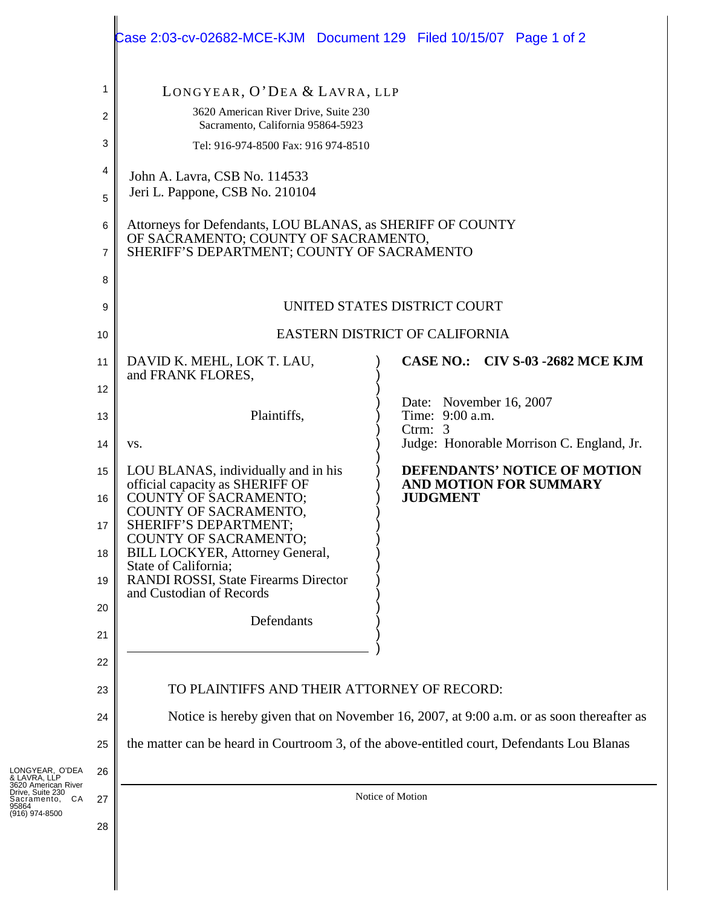|                     | Case 2:03-cv-02682-MCE-KJM  Document 129  Filed 10/15/07  Page 1 of 2                                                                            |                                                               |  |
|---------------------|--------------------------------------------------------------------------------------------------------------------------------------------------|---------------------------------------------------------------|--|
| 1                   | LONGYEAR, O'DEA & LAVRA, LLP                                                                                                                     |                                                               |  |
| $\overline{c}$      | 3620 American River Drive, Suite 230<br>Sacramento, California 95864-5923                                                                        |                                                               |  |
| 3                   | Tel: 916-974-8500 Fax: 916 974-8510                                                                                                              |                                                               |  |
| 4                   | John A. Lavra, CSB No. 114533                                                                                                                    |                                                               |  |
| 5                   | Jeri L. Pappone, CSB No. 210104                                                                                                                  |                                                               |  |
| 6<br>$\overline{7}$ | Attorneys for Defendants, LOU BLANAS, as SHERIFF OF COUNTY<br>OF SACRAMENTO; COUNTY OF SACRAMENTO,<br>SHERIFF'S DEPARTMENT; COUNTY OF SACRAMENTO |                                                               |  |
| 8                   |                                                                                                                                                  |                                                               |  |
| 9                   | UNITED STATES DISTRICT COURT                                                                                                                     |                                                               |  |
| 10                  | EASTERN DISTRICT OF CALIFORNIA                                                                                                                   |                                                               |  |
| 11<br>12            | DAVID K. MEHL, LOK T. LAU,<br>and FRANK FLORES,                                                                                                  | CASE NO.: CIV S-03 -2682 MCE KJM                              |  |
| 13                  | Plaintiffs,                                                                                                                                      | Date: November 16, 2007<br>Time: 9:00 a.m.<br>Ctrm: $3$       |  |
| 14                  | VS.                                                                                                                                              | Judge: Honorable Morrison C. England, Jr.                     |  |
| 15                  | LOU BLANAS, individually and in his<br>official capacity as SHERIFF OF                                                                           | DEFENDANTS' NOTICE OF MOTION<br><b>AND MOTION FOR SUMMARY</b> |  |
| 16                  | COUNTY OF SACRAMENTO;<br>COUNTY OF SACRAMENTO,                                                                                                   | <b>JUDGMENT</b>                                               |  |
| 17                  | SHERIFF'S DEPARTMENT;<br>COUNTY OF SACRAMENTO;                                                                                                   |                                                               |  |
| 18                  | BILL LOCKYER, Attorney General,<br>State of California;                                                                                          |                                                               |  |
| 19                  | <b>RANDI ROSSI, State Firearms Director</b><br>and Custodian of Records                                                                          |                                                               |  |
| 20                  | Defendants                                                                                                                                       |                                                               |  |
| 21                  |                                                                                                                                                  |                                                               |  |
| 22<br>23            | TO PLAINTIFFS AND THEIR ATTORNEY OF RECORD:                                                                                                      |                                                               |  |
| 24                  | Notice is hereby given that on November 16, 2007, at 9:00 a.m. or as soon thereafter as                                                          |                                                               |  |
| 25                  | the matter can be heard in Courtroom 3, of the above-entitled court, Defendants Lou Blanas                                                       |                                                               |  |
| 26                  |                                                                                                                                                  |                                                               |  |
| 27                  |                                                                                                                                                  | Notice of Motion                                              |  |
| 28                  |                                                                                                                                                  |                                                               |  |
|                     |                                                                                                                                                  |                                                               |  |

LONGYEAR, O'DEA & LAVRA, LLP 3620 American River Drive, Suite 230 Sacramento, CA 95864 (916) 974-8500